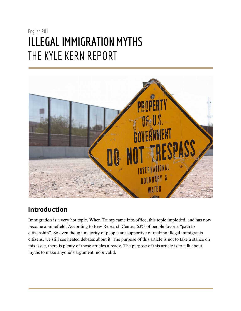## English 201 **ILLEGAL IMMIGRATION MYTHS** THE KYLE KERN REPORT



### **Introduction**

Immigration is a very hot topic. When Trump came into office, this topic imploded, and has now become a minefield. According to Pew Research Center, 63% of people favor a "path to citizenship". So even though majority of people are supportive of making illegal immigrants citizens, we still see heated debates about it. The purpose of this article is not to take a stance on this issue, there is plenty of those articles already. The purpose of this article is to talk about myths to make anyone's argument more valid.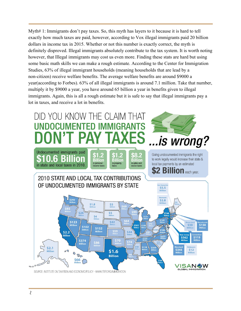Myth# 1: Immigrants don't pay taxes. So, this myth has layers to it because it is hard to tell exactly how much taxes are paid, however, according to Vox illegal immigrants paid 20 billion dollars in income tax in 2015. Whether or not this number is exactly correct, the myth is definitely disproved. Illegal immigrants absolutely contribute to the tax system. It is worth noting however, that Illegal immigrants may cost us even more. Finding these stats are hard but using some basic math skills we can make a rough estimate. According to the Center for Immigration Studies, 63% of illegal immigrant households (meaning households that are lead by a non-citizen) receive welfare benefits. The average welfare benefits are around \$9000 a year(according to Forbes). 63% of all illegal immigrants is around 7.1 million. Take that number, multiply it by \$9000 a year, you have around 65 billion a year in benefits given to illegal immigrants. Again, this is all a rough estimate but it is safe to say that illegal immigrants pay a lot in taxes, and receive a lot in benefits.

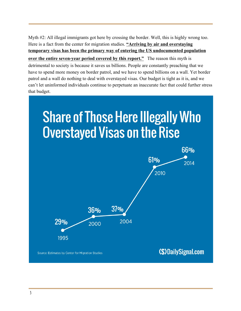Myth #2: All illegal immigrants got here by crossing the border. Well, this is highly wrong too. Here is a fact from the center for migration studies. **"Arriving by air and overstaying temporary visas has been the primary way of entering the US undocumented population over the entire seven-year period covered by this report."** The reason this myth is detrimental to society is because it saves us billions. People are constantly preaching that we have to spend more money on border patrol, and we have to spend billions on a wall. Yet border patrol and a wall do nothing to deal with overstayed visas. Our budget is tight as it is, and we can't let uninformed individuals continue to perpetuate an inaccurate fact that could further stress that budget.

# **Share of Those Here Illegally Who Overstayed Visas on the Rise**

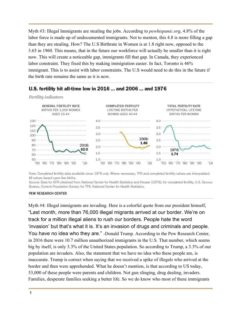Myth #3: Illegal Immigrants are stealing the jobs. According to *pewhispanic.org*, 4.8% of the labor force is made up of undocumented immigrants. Not to menton, this 4.8 is more filling a gap than they are stealing. How? The U.S Birthrate in Women is at 1.8 right now, opposed to the 3.65 in 1960. This means, that in the future our workforce will actually be smaller than it is right now. This will create a noticeable gap, immigrants fill that gap. In Canada, they experienced labor constraint. They fixed this by making immigration easier. In fact, Toronto is 46% immigrant. This is to assist with labor constraints. The U.S would need to do this in the future if the birth rate remains the same as it is now.



#### U.S. fertility hit all-time low in 2016 ... and 2006 ... and 1976

Note: Completed fertility data available since 1976 only. Where necessary, TFR and completed fertility values are interpolated. All values based upon live births.

Source: Data for GFR obtained from National Center for Health Statistics and Heuser (1976); for completed fertility, U.S. Census Bureau, Current Population Survey; for TFR, National Center for Health Statistics.

#### PEW RESEARCH CENTER

Myth #4: Illegal immigrants are invading. Here is a colorful quote from our president himself, "Last month, more than 76,000 illegal migrants arrived at our border. We're on track for a million illegal aliens to rush our borders. People hate the word 'invasion' but that's what it is. It's an invasion of drugs and criminals and people. You have no idea who they are." -Donald Trump. According to the Pew Research Center, in 2016 there were 10.7 million unauthorized immigrants in the U.S. That number, which seems big by itself, is only 3.3% of the United States population. So according to Trump, a 3.3% of our population are invaders. Also, the statement that we have no idea who these people are, is inaccurate. Trump is correct when saying that we received a spike of illegals who arrived at the border and then were apprehended. What he doesn't mention, is that according to US today, 53,000 of these people were parents and children. Not gun slinging, drug dealing, invaders. Families, desperate families seeking a better life. So we do know who most of these immigrants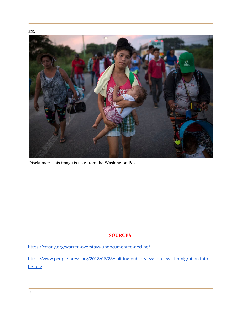

Disclaimer: This image is take from the Washington Post.

#### **SOURCES**

<https://cmsny.org/warren-overstays-undocumented-decline/>

[https://www.people-press.org/2018/06/28/shifting-public-views-on-legal-immigration-into-t](https://www.people-press.org/2018/06/28/shifting-public-views-on-legal-immigration-into-the-u-s/) [he-u-s/](https://www.people-press.org/2018/06/28/shifting-public-views-on-legal-immigration-into-the-u-s/)

are.